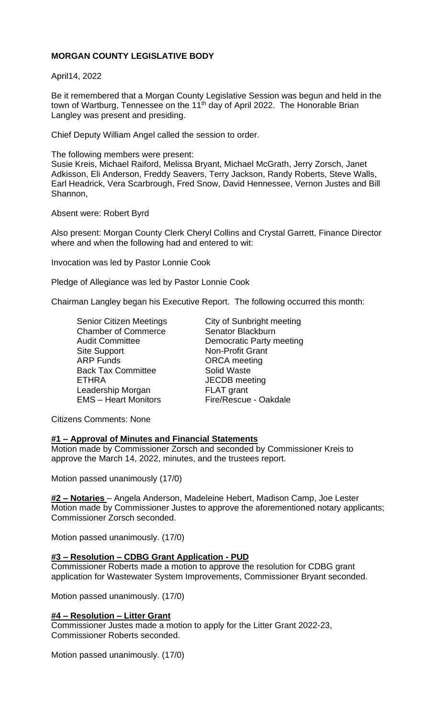# **MORGAN COUNTY LEGISLATIVE BODY**

April14, 2022

Be it remembered that a Morgan County Legislative Session was begun and held in the town of Wartburg, Tennessee on the 11<sup>th</sup> day of April 2022. The Honorable Brian Langley was present and presiding.

Chief Deputy William Angel called the session to order.

The following members were present:

Susie Kreis, Michael Raiford, Melissa Bryant, Michael McGrath, Jerry Zorsch, Janet Adkisson, Eli Anderson, Freddy Seavers, Terry Jackson, Randy Roberts, Steve Walls, Earl Headrick, Vera Scarbrough, Fred Snow, David Hennessee, Vernon Justes and Bill Shannon,

Absent were: Robert Byrd

Also present: Morgan County Clerk Cheryl Collins and Crystal Garrett, Finance Director where and when the following had and entered to wit:

Invocation was led by Pastor Lonnie Cook

Pledge of Allegiance was led by Pastor Lonnie Cook

Chairman Langley began his Executive Report. The following occurred this month:

Chamber of Commerce Senator Blackburn Site Support Non-Profit Grant ARP Funds ORCA meeting Back Tax Committee **Solid Waste** ETHRA JECDB meeting Leadership Morgan FLAT grant EMS – Heart Monitors Fire/Rescue - Oakdale

Senior Citizen Meetings City of Sunbright meeting Audit Committee **Democratic Party meeting** 

Citizens Comments: None

# **#1 – Approval of Minutes and Financial Statements**

Motion made by Commissioner Zorsch and seconded by Commissioner Kreis to approve the March 14, 2022, minutes, and the trustees report.

Motion passed unanimously (17/0)

**#2 – Notaries** – Angela Anderson, Madeleine Hebert, Madison Camp, Joe Lester Motion made by Commissioner Justes to approve the aforementioned notary applicants; Commissioner Zorsch seconded.

Motion passed unanimously. (17/0)

#### **#3 – Resolution – CDBG Grant Application - PUD**

Commissioner Roberts made a motion to approve the resolution for CDBG grant application for Wastewater System Improvements, Commissioner Bryant seconded.

Motion passed unanimously. (17/0)

#### **#4 – Resolution – Litter Grant**

Commissioner Justes made a motion to apply for the Litter Grant 2022-23, Commissioner Roberts seconded.

Motion passed unanimously. (17/0)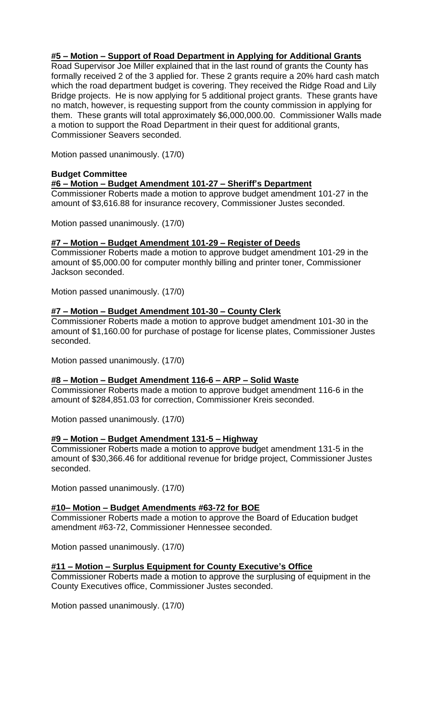## **#5 – Motion – Support of Road Department in Applying for Additional Grants**

Road Supervisor Joe Miller explained that in the last round of grants the County has formally received 2 of the 3 applied for. These 2 grants require a 20% hard cash match which the road department budget is covering. They received the Ridge Road and Lily Bridge projects. He is now applying for 5 additional project grants. These grants have no match, however, is requesting support from the county commission in applying for them. These grants will total approximately \$6,000,000.00. Commissioner Walls made a motion to support the Road Department in their quest for additional grants, Commissioner Seavers seconded.

Motion passed unanimously. (17/0)

### **Budget Committee**

**#6 – Motion – Budget Amendment 101-27 – Sheriff's Department**

Commissioner Roberts made a motion to approve budget amendment 101-27 in the amount of \$3,616.88 for insurance recovery, Commissioner Justes seconded.

Motion passed unanimously. (17/0)

## **#7 – Motion – Budget Amendment 101-29 – Register of Deeds**

Commissioner Roberts made a motion to approve budget amendment 101-29 in the amount of \$5,000.00 for computer monthly billing and printer toner, Commissioner Jackson seconded.

Motion passed unanimously. (17/0)

### **#7 – Motion – Budget Amendment 101-30 – County Clerk**

Commissioner Roberts made a motion to approve budget amendment 101-30 in the amount of \$1,160.00 for purchase of postage for license plates, Commissioner Justes seconded.

Motion passed unanimously. (17/0)

#### **#8 – Motion – Budget Amendment 116-6 – ARP – Solid Waste**

Commissioner Roberts made a motion to approve budget amendment 116-6 in the amount of \$284,851.03 for correction, Commissioner Kreis seconded.

Motion passed unanimously. (17/0)

# **#9 – Motion – Budget Amendment 131-5 – Highway**

Commissioner Roberts made a motion to approve budget amendment 131-5 in the amount of \$30,366.46 for additional revenue for bridge project, Commissioner Justes seconded.

Motion passed unanimously. (17/0)

#### **#10– Motion – Budget Amendments #63-72 for BOE**

Commissioner Roberts made a motion to approve the Board of Education budget amendment #63-72, Commissioner Hennessee seconded.

Motion passed unanimously. (17/0)

#### **#11 – Motion – Surplus Equipment for County Executive's Office**

Commissioner Roberts made a motion to approve the surplusing of equipment in the County Executives office, Commissioner Justes seconded.

Motion passed unanimously. (17/0)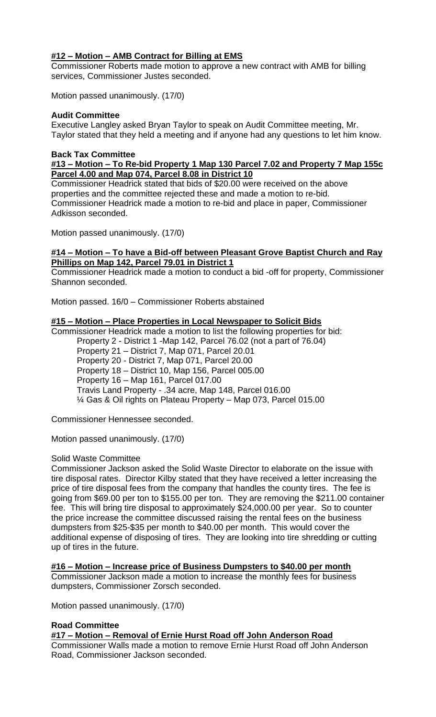# **#12 – Motion – AMB Contract for Billing at EMS**

Commissioner Roberts made motion to approve a new contract with AMB for billing services, Commissioner Justes seconded.

Motion passed unanimously. (17/0)

## **Audit Committee**

Executive Langley asked Bryan Taylor to speak on Audit Committee meeting, Mr. Taylor stated that they held a meeting and if anyone had any questions to let him know.

# **Back Tax Committee**

### **#13 – Motion – To Re-bid Property 1 Map 130 Parcel 7.02 and Property 7 Map 155c Parcel 4.00 and Map 074, Parcel 8.08 in District 10**

Commissioner Headrick stated that bids of \$20.00 were received on the above properties and the committee rejected these and made a motion to re-bid. Commissioner Headrick made a motion to re-bid and place in paper, Commissioner Adkisson seconded.

Motion passed unanimously. (17/0)

# **#14 – Motion – To have a Bid-off between Pleasant Grove Baptist Church and Ray Phillips on Map 142, Parcel 79.01 in District 1**

Commissioner Headrick made a motion to conduct a bid -off for property, Commissioner Shannon seconded.

Motion passed. 16/0 – Commissioner Roberts abstained

## **#15 – Motion – Place Properties in Local Newspaper to Solicit Bids**

Commissioner Headrick made a motion to list the following properties for bid:

Property 2 - District 1 -Map 142, Parcel 76.02 (not a part of 76.04)

Property 21 – District 7, Map 071, Parcel 20.01 Property 20 - District 7, Map 071, Parcel 20.00

Property 18 – District 10, Map 156, Parcel 005.00

Property 16 – Map 161, Parcel 017.00

Travis Land Property - .34 acre, Map 148, Parcel 016.00

¼ Gas & Oil rights on Plateau Property – Map 073, Parcel 015.00

Commissioner Hennessee seconded.

Motion passed unanimously. (17/0)

#### Solid Waste Committee

Commissioner Jackson asked the Solid Waste Director to elaborate on the issue with tire disposal rates. Director Kilby stated that they have received a letter increasing the price of tire disposal fees from the company that handles the county tires. The fee is going from \$69.00 per ton to \$155.00 per ton. They are removing the \$211.00 container fee. This will bring tire disposal to approximately \$24,000.00 per year. So to counter the price increase the committee discussed raising the rental fees on the business dumpsters from \$25-\$35 per month to \$40.00 per month. This would cover the additional expense of disposing of tires. They are looking into tire shredding or cutting up of tires in the future.

# **#16 – Motion – Increase price of Business Dumpsters to \$40.00 per month**

Commissioner Jackson made a motion to increase the monthly fees for business dumpsters, Commissioner Zorsch seconded.

Motion passed unanimously. (17/0)

# **Road Committee**

**#17 – Motion – Removal of Ernie Hurst Road off John Anderson Road**

Commissioner Walls made a motion to remove Ernie Hurst Road off John Anderson Road, Commissioner Jackson seconded.